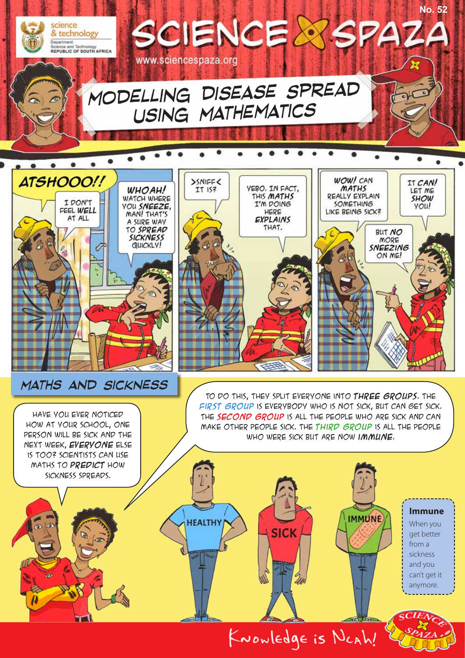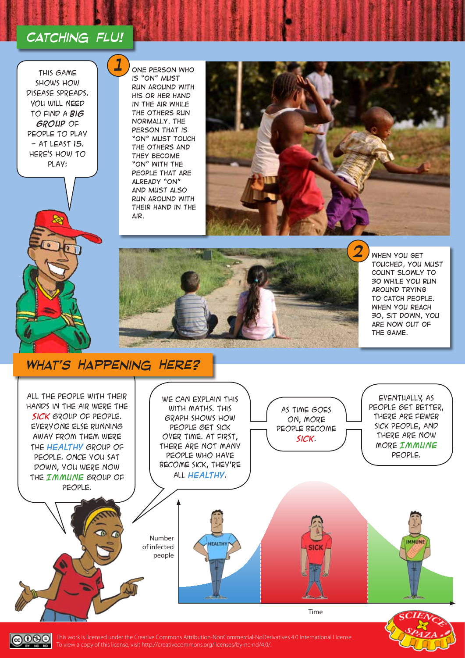## *Catching flu!*

*1*

This game shows how disease spreads. You will need to find a **big group** of people to play  $-$  AT LEAST 15. Here's how to play:

*One person who is "On" must run around with his or her hand in the air while the others run normally. The person that is "On" must touch the others and they become "On" with the people that are already "On" and must also run around with their hand in the air.*





*When you get touched, you must count slowly to 30 while you run around trying to catch people. When you reach 30, sit down, you are now out of the game.*

### *What's Happening Here?*





This work is licensed under the Creative Commons Attribution-NonCommercial-NoDerivatives 4.0 International License. To view a copy of this license, visit http://creativecommons.org/licenses/by-nc-nd/4.0/.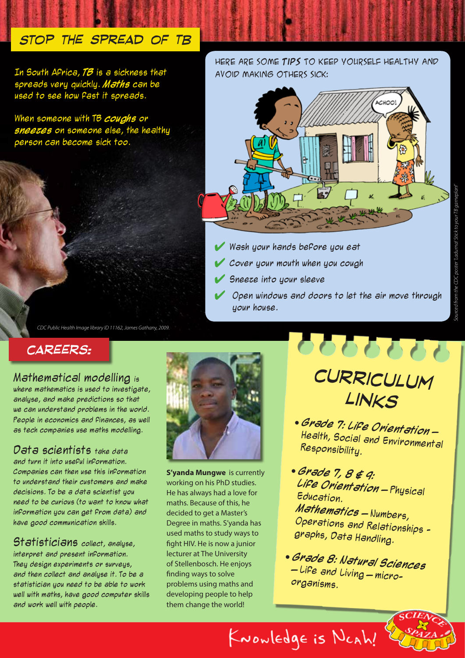## *Stop the spread of TB*

In South Africa, **TB** is a sickness that spreads very quickly. **Maths** can be used to see how fast it spreads.

When someone with TB **coughs** or **sneezes** on someone else, the healthy person can become sick too.

Here are some **tips** to keep yourself healthy and avoid making others sick:



- Wash your hands before you eat
- Cover your mouth when you cough
- Sneeze into your sleeve
- Open windows and doors to let the air move through your house.

*CDC Public Health Image library ID 11162, James Gathany, 2009.*

### *careers:*

### Mathematical modelling is

where mathematics is used to investigate, analyse, and make predictions so that we can understand problems in the world. People in economics and finances, as well as tech companies use maths modelling.

Data scientists take data and turn it into useful information. Companies can then use this information to understand their customers and make decisions. To be a data scientist you need to be curious (to want to know what information you can get from data) and have good communication skills.

Statisticians collect, analyse, interpret and present information. They design experiments or surveys, and then collect and analyse it. To be a statistician you need to be able to work well with maths, have good computer skills and work well with people.



**S'yanda Mungwe** is currently working on his PhD studies. He has always had a love for maths. Because of this, he decided to get a Master's Degree in maths. S'yanda has used maths to study ways to fight HIV. He is now a junior lecturer at The University of Stellenbosch. He enjoys finding ways to solve problems using maths and developing people to help them change the world!

*curriculum links*

000000

- **Grade 7: Life Orientation**  Health, Social and Environmental Responsibility.
- **Grade 7, 8 & 9: Life Orientation** – Physical Education. **Mathematics** – Numbers, Operations and Relationships graphs, Data Handling.
- **Grade 8: Natural Sciences**  – Life and Living – microorganisms.

KNOWledge is NCAh!

*Sourced from the CDC poster 'Laduma! Stick to your TB gameplan!'*